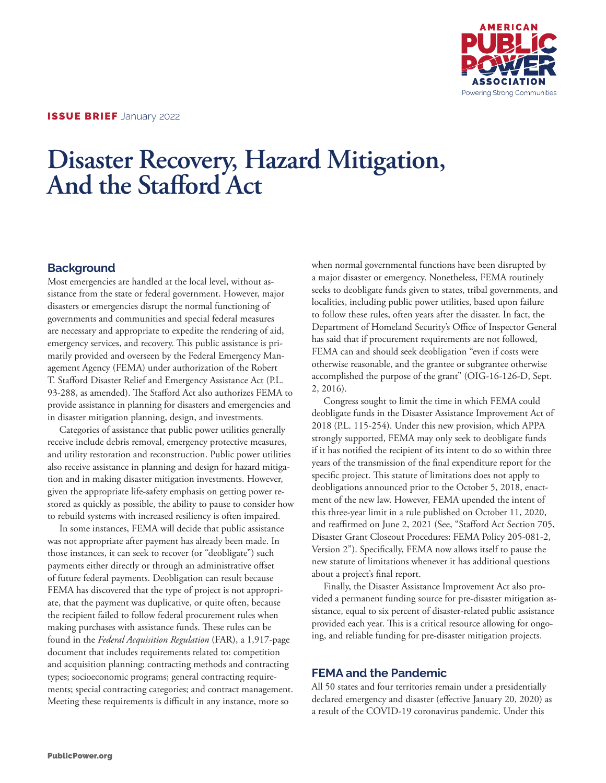

# **Disaster Recovery, Hazard Mitigation, And the Stafford Act**

## **Background**

Most emergencies are handled at the local level, without assistance from the state or federal government. However, major disasters or emergencies disrupt the normal functioning of governments and communities and special federal measures are necessary and appropriate to expedite the rendering of aid, emergency services, and recovery. This public assistance is primarily provided and overseen by the Federal Emergency Management Agency (FEMA) under authorization of the Robert T. Stafford Disaster Relief and Emergency Assistance Act (P.L. 93-288, as amended). The Stafford Act also authorizes FEMA to provide assistance in planning for disasters and emergencies and in disaster mitigation planning, design, and investments.

Categories of assistance that public power utilities generally receive include debris removal, emergency protective measures, and utility restoration and reconstruction. Public power utilities also receive assistance in planning and design for hazard mitigation and in making disaster mitigation investments. However, given the appropriate life-safety emphasis on getting power restored as quickly as possible, the ability to pause to consider how to rebuild systems with increased resiliency is often impaired.

In some instances, FEMA will decide that public assistance was not appropriate after payment has already been made. In those instances, it can seek to recover (or "deobligate") such payments either directly or through an administrative offset of future federal payments. Deobligation can result because FEMA has discovered that the type of project is not appropriate, that the payment was duplicative, or quite often, because the recipient failed to follow federal procurement rules when making purchases with assistance funds. These rules can be found in the *Federal Acquisition Regulation* (FAR), a 1,917-page document that includes requirements related to: competition and acquisition planning; contracting methods and contracting types; socioeconomic programs; general contracting requirements; special contracting categories; and contract management. Meeting these requirements is difficult in any instance, more so

when normal governmental functions have been disrupted by a major disaster or emergency. Nonetheless, FEMA routinely seeks to deobligate funds given to states, tribal governments, and localities, including public power utilities, based upon failure to follow these rules, often years after the disaster. In fact, the Department of Homeland Security's Office of Inspector General has said that if procurement requirements are not followed, FEMA can and should seek deobligation "even if costs were otherwise reasonable, and the grantee or subgrantee otherwise accomplished the purpose of the grant" (OIG-16-126-D, Sept. 2, 2016).

Congress sought to limit the time in which FEMA could deobligate funds in the Disaster Assistance Improvement Act of 2018 (P.L. 115-254). Under this new provision, which APPA strongly supported, FEMA may only seek to deobligate funds if it has notified the recipient of its intent to do so within three years of the transmission of the final expenditure report for the specific project. This statute of limitations does not apply to deobligations announced prior to the October 5, 2018, enactment of the new law. However, FEMA upended the intent of this three-year limit in a rule published on October 11, 2020, and reaffirmed on June 2, 2021 (See, "Stafford Act Section 705, Disaster Grant Closeout Procedures: FEMA Policy 205-081-2, Version 2"). Specifically, FEMA now allows itself to pause the new statute of limitations whenever it has additional questions about a project's final report.

Finally, the Disaster Assistance Improvement Act also provided a permanent funding source for pre-disaster mitigation assistance, equal to six percent of disaster-related public assistance provided each year. This is a critical resource allowing for ongoing, and reliable funding for pre-disaster mitigation projects.

### **FEMA and the Pandemic**

All 50 states and four territories remain under a presidentially declared emergency and disaster (effective January 20, 2020) as a result of the COVID-19 coronavirus pandemic. Under this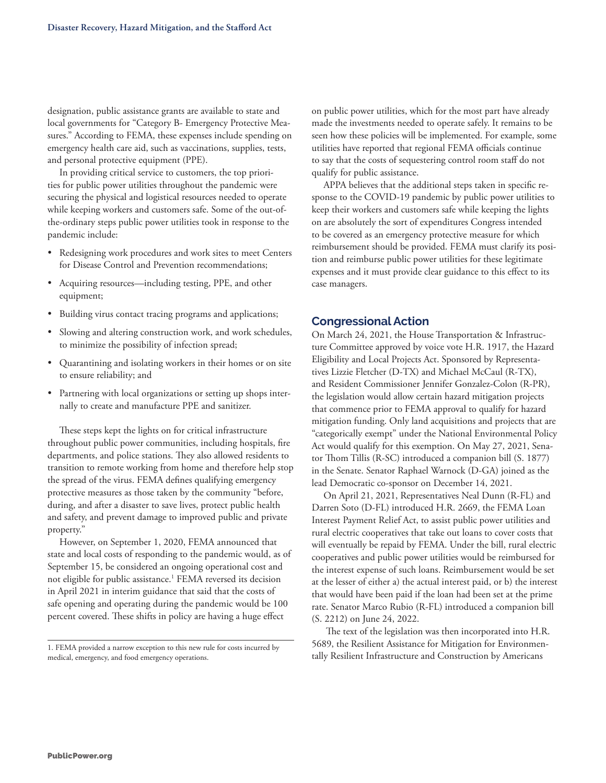designation, public assistance grants are available to state and local governments for "Category B- Emergency Protective Measures." According to FEMA, these expenses include spending on emergency health care aid, such as vaccinations, supplies, tests, and personal protective equipment (PPE).

In providing critical service to customers, the top priorities for public power utilities throughout the pandemic were securing the physical and logistical resources needed to operate while keeping workers and customers safe. Some of the out-ofthe-ordinary steps public power utilities took in response to the pandemic include:

- Redesigning work procedures and work sites to meet Centers for Disease Control and Prevention recommendations;
- Acquiring resources—including testing, PPE, and other equipment;
- Building virus contact tracing programs and applications;
- Slowing and altering construction work, and work schedules, to minimize the possibility of infection spread;
- Quarantining and isolating workers in their homes or on site to ensure reliability; and
- Partnering with local organizations or setting up shops internally to create and manufacture PPE and sanitizer.

These steps kept the lights on for critical infrastructure throughout public power communities, including hospitals, fire departments, and police stations. They also allowed residents to transition to remote working from home and therefore help stop the spread of the virus. FEMA defines qualifying emergency protective measures as those taken by the community "before, during, and after a disaster to save lives, protect public health and safety, and prevent damage to improved public and private property."

However, on September 1, 2020, FEMA announced that state and local costs of responding to the pandemic would, as of September 15, be considered an ongoing operational cost and not eligible for public assistance.<sup>1</sup> FEMA reversed its decision in April 2021 in interim guidance that said that the costs of safe opening and operating during the pandemic would be 100 percent covered. These shifts in policy are having a huge effect

on public power utilities, which for the most part have already made the investments needed to operate safely. It remains to be seen how these policies will be implemented. For example, some utilities have reported that regional FEMA officials continue to say that the costs of sequestering control room staff do not qualify for public assistance.

APPA believes that the additional steps taken in specific response to the COVID-19 pandemic by public power utilities to keep their workers and customers safe while keeping the lights on are absolutely the sort of expenditures Congress intended to be covered as an emergency protective measure for which reimbursement should be provided. FEMA must clarify its position and reimburse public power utilities for these legitimate expenses and it must provide clear guidance to this effect to its case managers.

#### **Congressional Action**

On March 24, 2021, the House Transportation & Infrastructure Committee approved by voice vote H.R. 1917, the Hazard Eligibility and Local Projects Act. Sponsored by Representatives Lizzie Fletcher (D-TX) and Michael McCaul (R-TX), and Resident Commissioner Jennifer Gonzalez-Colon (R-PR), the legislation would allow certain hazard mitigation projects that commence prior to FEMA approval to qualify for hazard mitigation funding. Only land acquisitions and projects that are "categorically exempt" under the National Environmental Policy Act would qualify for this exemption. On May 27, 2021, Senator Thom Tillis (R-SC) introduced a companion bill (S. 1877) in the Senate. Senator Raphael Warnock (D-GA) joined as the lead Democratic co-sponsor on December 14, 2021.

On April 21, 2021, Representatives Neal Dunn (R-FL) and Darren Soto (D-FL) introduced H.R. 2669, the FEMA Loan Interest Payment Relief Act, to assist public power utilities and rural electric cooperatives that take out loans to cover costs that will eventually be repaid by FEMA. Under the bill, rural electric cooperatives and public power utilities would be reimbursed for the interest expense of such loans. Reimbursement would be set at the lesser of either a) the actual interest paid, or b) the interest that would have been paid if the loan had been set at the prime rate. Senator Marco Rubio (R-FL) introduced a companion bill (S. 2212) on June 24, 2022.

 The text of the legislation was then incorporated into H.R. 5689, the Resilient Assistance for Mitigation for Environmenthe Resilient Assistance for Mitigation for Environment I. FEMA provided a narrow exception to this new rule for costs incurred by  $\frac{1}{\text{poly}}$  Resilient Infrastructure and Construction by Americans  $\frac{1}{\text{poly}}$  readical,

medical, emergency, and food emergency operations.